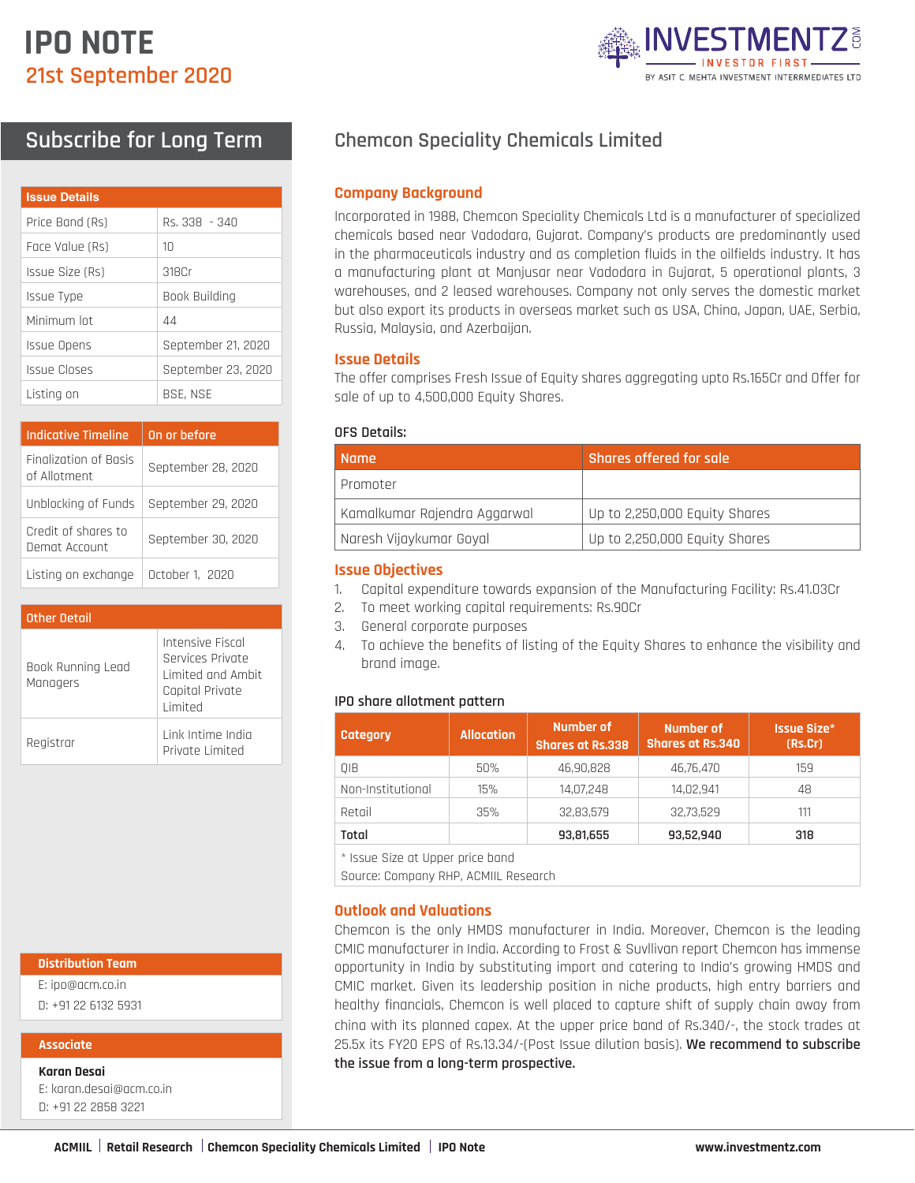# **IPO NOTE 21st September 2020**



# **Subscribe for Long Term**

| <b>Issue Details</b> |                    |
|----------------------|--------------------|
| Price Band (Rs)      | Rs. 338 - 340      |
| Face Value (Rs)      | $1 \cap$           |
| Issue Size (Rs)      | 318Cr              |
| Issue Type           | Book Building      |
| Minimum Int          | 44                 |
| Issue Opens          | September 21, 2020 |
| Issue Closes         | September 23, 2020 |
| Listing on           | <b>BSE, NSE</b>    |

| <b>Indicative Timeline</b>            | On or before       |
|---------------------------------------|--------------------|
| Finalization of Basis<br>of Allotment | September 28, 2020 |
| Unblocking of Funds                   | September 29, 2020 |
| Credit of shares to<br>Demat Account  | September 30, 2020 |
| Listing on exchange                   | October 1, 2020    |

| <b>Other Detail</b>           |                                                                                          |  |  |  |
|-------------------------------|------------------------------------------------------------------------------------------|--|--|--|
| Book Running Lead<br>Managers | Intensive Fiscal<br>Services Private<br>Limited and Amhit<br>Capital Private<br>I imited |  |  |  |
| Registrar                     | Link Intime India<br>Private Limited                                                     |  |  |  |

#### **Distribution Team**

E: ipo@acm.co.in

D: +91 22 6132 5931

#### **Associate**

**Karan Desai**

E: karan.desai@acm.co.in D: +91 22 2858 3221

# **Chemcon Speciality Chemicals Limited**

### **Company Background**

Incorporated in 1988, Chemcon Speciality Chemicals Ltd is a manufacturer of specialized chemicals based near Vadodara, Gujarat. Company's products are predominantly used in the pharmaceuticals industry and as completion fluids in the oilfields industry. It has a manufacturing plant at Manjusar near Vadodara in Gujarat, 5 operational plants, 3 warehouses, and 2 leased warehouses. Company not only serves the domestic market but also export its products in overseas market such as USA, China, Japan, UAE, Serbia, Russia, Malaysia, and Azerbaijan.

# **Issue Details**

The offer comprises Fresh Issue of Equity shares aggregating upto Rs.165Cr and Offer for sale of up to 4,500,000 Equity Shares.

#### **OFS Details:**

| <b>Name</b>                  | Shares offered for sale       |
|------------------------------|-------------------------------|
| Promoter                     |                               |
| Kamalkumar Rajendra Aggarwal | Up to 2,250,000 Equity Shares |
| Naresh Vijaykumar Goyal      | Up to 2,250,000 Equity Shares |

#### **Issue Objectives**

- 1. Capital expenditure towards expansion of the Manufacturing Facility: Rs.41.03Cr
- 2. To meet working capital requirements: Rs.90Cr
- 3. General corporate purposes
- 4. To achieve the benefits of listing of the Equity Shares to enhance the visibility and brand image.

#### **IPO share allotment pattern**

| Category          | <b>Allocation</b> | Number of<br><b>Shares at Rs.338</b> | Number of<br><b>Shares at Rs.340</b> | <b>Issue Size*</b><br>(Rs.Cr) |
|-------------------|-------------------|--------------------------------------|--------------------------------------|-------------------------------|
| OIB               | 50%               | 46,90,828                            | 46,76,470                            | 159                           |
| Non-Institutional | 15%               | 14,07,248                            | 14,02,941                            | 48                            |
| Retail            | 35%               | 32,83,579                            | 32,73,529                            | 111                           |
| Total             |                   | 93,81,655                            | 93,52,940                            | 318                           |

\* Issue Size at Upper price band

Source: Company RHP, ACMIIL Research

### **Outlook and Valuations**

Chemcon is the only HMDS manufacturer in India. Moreover, Chemcon is the leading CMIC manufacturer in India. According to Frost & Suvllivan report Chemcon has immense opportunity in India by substituting import and catering to India's growing HMDS and CMIC market. Given its leadership position in niche products, high entry barriers and healthy financials, Chemcon is well placed to capture shift of supply chain away from china with its planned capex. At the upper price band of Rs.340/-, the stock trades at 25.5x its FY20 EPS of Rs.13.34/-(Post Issue dilution basis). **We recommend to subscribe the issue from a long-term prospective.**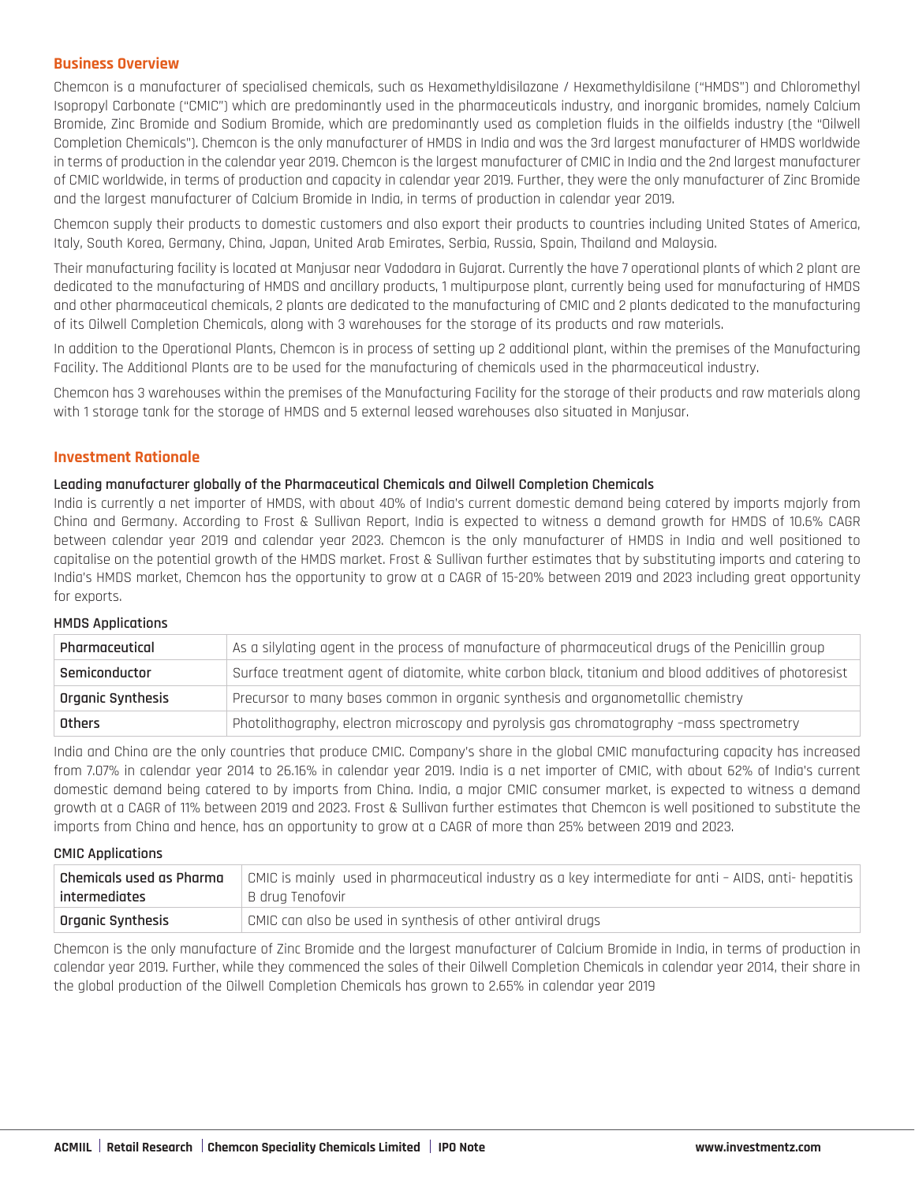# **Business Overview**

Chemcon is a manufacturer of specialised chemicals, such as Hexamethyldisilazane / Hexamethyldisilane ("HMDS") and Chloromethyl Isopropyl Carbonate ("CMIC") which are predominantly used in the pharmaceuticals industry, and inorganic bromides, namely Calcium Bromide, Zinc Bromide and Sodium Bromide, which are predominantly used as completion fluids in the oilfields industry (the "Oilwell Completion Chemicals"). Chemcon is the only manufacturer of HMDS in India and was the 3rd largest manufacturer of HMDS worldwide in terms of production in the calendar year 2019. Chemcon is the largest manufacturer of CMIC in India and the 2nd largest manufacturer of CMIC worldwide, in terms of production and capacity in calendar year 2019. Further, they were the only manufacturer of Zinc Bromide and the largest manufacturer of Calcium Bromide in India, in terms of production in calendar year 2019.

Chemcon supply their products to domestic customers and also export their products to countries including United States of America, Italy, South Korea, Germany, China, Japan, United Arab Emirates, Serbia, Russia, Spain, Thailand and Malaysia.

Their manufacturing facility is located at Manjusar near Vadodara in Gujarat. Currently the have 7 operational plants of which 2 plant are dedicated to the manufacturing of HMDS and ancillary products, 1 multipurpose plant, currently being used for manufacturing of HMDS and other pharmaceutical chemicals, 2 plants are dedicated to the manufacturing of CMIC and 2 plants dedicated to the manufacturing of its Oilwell Completion Chemicals, along with 3 warehouses for the storage of its products and raw materials.

In addition to the Operational Plants, Chemcon is in process of setting up 2 additional plant, within the premises of the Manufacturing Facility. The Additional Plants are to be used for the manufacturing of chemicals used in the pharmaceutical industry.

Chemcon has 3 warehouses within the premises of the Manufacturing Facility for the storage of their products and raw materials along with 1 storage tank for the storage of HMDS and 5 external leased warehouses also situated in Manjusar.

# **Investment Rationale**

#### **Leading manufacturer globally of the Pharmaceutical Chemicals and Oilwell Completion Chemicals**

India is currently a net importer of HMDS, with about 40% of India's current domestic demand being catered by imports majorly from China and Germany. According to Frost & Sullivan Report, India is expected to witness a demand growth for HMDS of 10.6% CAGR between calendar year 2019 and calendar year 2023. Chemcon is the only manufacturer of HMDS in India and well positioned to capitalise on the potential growth of the HMDS market. Frost & Sullivan further estimates that by substituting imports and catering to India's HMDS market, Chemcon has the opportunity to grow at a CAGR of 15-20% between 2019 and 2023 including great opportunity for exports.

#### **HMDS Applications**

| Pharmaceutical           | As a silylating agent in the process of manufacture of pharmaceutical drugs of the Penicillin group   |
|--------------------------|-------------------------------------------------------------------------------------------------------|
| Semiconductor            | Surface treatment agent of diatomite, white carbon black, titanium and blood additives of photoresist |
| <b>Organic Synthesis</b> | Precursor to many bases common in organic synthesis and organometallic chemistry                      |
| Others                   | Photolithography, electron microscopy and pyrolysis gas chromatography -mass spectrometry             |

India and China are the only countries that produce CMIC. Company's share in the global CMIC manufacturing capacity has increased from 7.07% in calendar year 2014 to 26.16% in calendar year 2019. India is a net importer of CMIC, with about 62% of India's current domestic demand being catered to by imports from China. India, a major CMIC consumer market, is expected to witness a demand growth at a CAGR of 11% between 2019 and 2023. Frost & Sullivan further estimates that Chemcon is well positioned to substitute the imports from China and hence, has an opportunity to grow at a CAGR of more than 25% between 2019 and 2023.

#### **CMIC Applications**

| $^\top$ Chemicals used as Pharma | CMIC is mainly used in pharmaceutical industry as a key intermediate for anti – AIDS, anti- hepatitis |
|----------------------------------|-------------------------------------------------------------------------------------------------------|
| intermediates                    | B drug Tenofovir                                                                                      |
| Organic Synthesis                | CMIC can also be used in synthesis of other antiviral drugs                                           |

Chemcon is the only manufacture of Zinc Bromide and the largest manufacturer of Calcium Bromide in India, in terms of production in calendar year 2019. Further, while they commenced the sales of their Oilwell Completion Chemicals in calendar year 2014, their share in the global production of the Oilwell Completion Chemicals has grown to 2.65% in calendar year 2019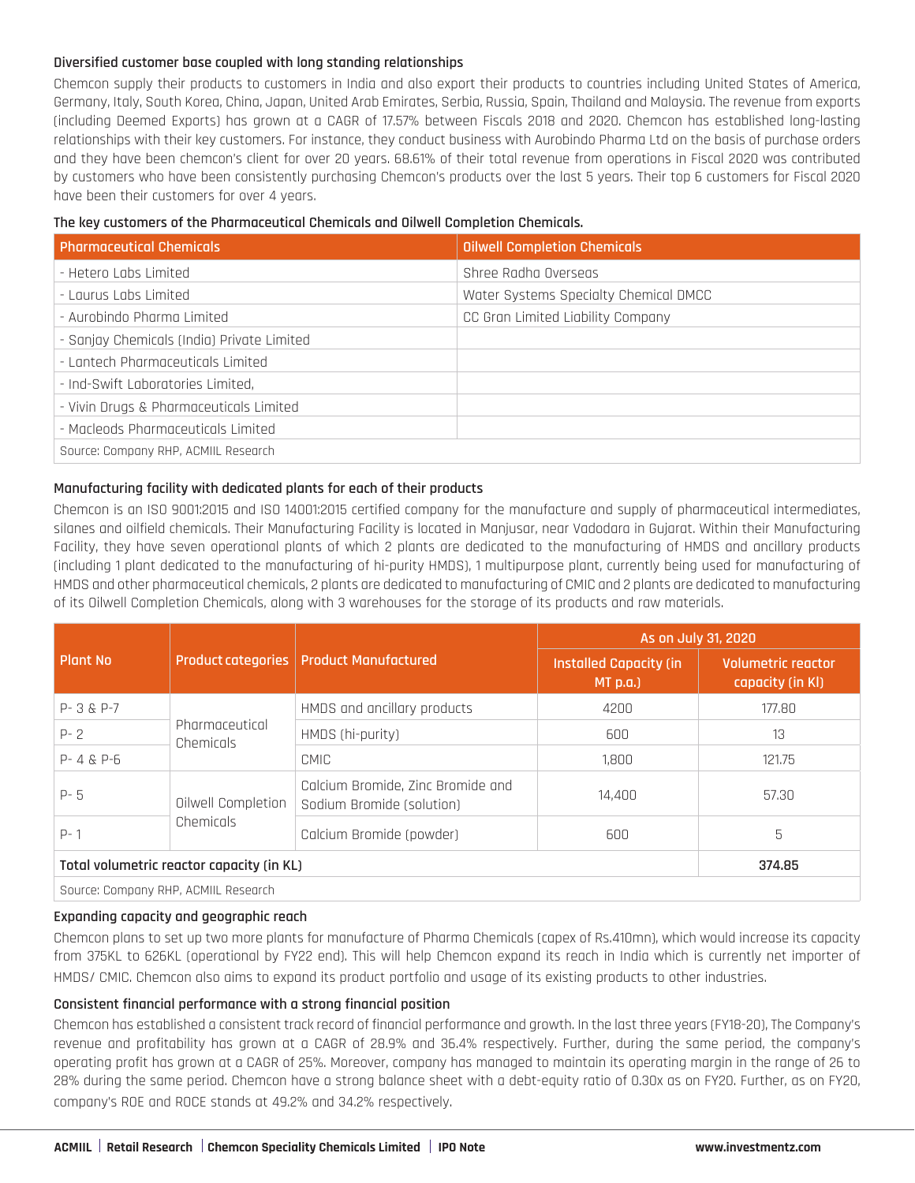# **Diversified customer base coupled with long standing relationships**

Chemcon supply their products to customers in India and also export their products to countries including United States of America, Germany, Italy, South Korea, China, Japan, United Arab Emirates, Serbia, Russia, Spain, Thailand and Malaysia. The revenue from exports (including Deemed Exports) has grown at a CAGR of 17.57% between Fiscals 2018 and 2020. Chemcon has established long-lasting relationships with their key customers. For instance, they conduct business with Aurobindo Pharma Ltd on the basis of purchase orders and they have been chemcon's client for over 20 years. 68.61% of their total revenue from operations in Fiscal 2020 was contributed by customers who have been consistently purchasing Chemcon's products over the last 5 years. Their top 6 customers for Fiscal 2020 have been their customers for over 4 years.

# **The key customers of the Pharmaceutical Chemicals and Oilwell Completion Chemicals.**

| <b>Pharmaceutical Chemicals</b>            | <b>Oilwell Completion Chemicals</b>   |
|--------------------------------------------|---------------------------------------|
| - Hetero Labs Limited                      | Shree Radha Overseas                  |
| - Laurus Labs Limited                      | Water Systems Specialty Chemical DMCC |
| - Aurobindo Pharma Limited                 | CC Gran Limited Liability Company     |
| - Sanjay Chemicals (India) Private Limited |                                       |
| - Lantech Pharmaceuticals Limited          |                                       |
| - Ind-Swift Laboratories Limited.          |                                       |
| - Vivin Drugs & Pharmaceuticals Limited    |                                       |
| - Macleods Pharmaceuticals Limited         |                                       |
| Source: Company RHP, ACMIIL Research       |                                       |

# **Manufacturing facility with dedicated plants for each of their products**

Chemcon is an ISO 9001:2015 and ISO 14001:2015 certified company for the manufacture and supply of pharmaceutical intermediates, silanes and oilfield chemicals. Their Manufacturing Facility is located in Manjusar, near Vadodara in Gujarat. Within their Manufacturing Facility, they have seven operational plants of which 2 plants are dedicated to the manufacturing of HMDS and ancillary products (including 1 plant dedicated to the manufacturing of hi-purity HMDS), 1 multipurpose plant, currently being used for manufacturing of HMDS and other pharmaceutical chemicals, 2 plants are dedicated to manufacturing of CMIC and 2 plants are dedicated to manufacturing of its Oilwell Completion Chemicals, along with 3 warehouses for the storage of its products and raw materials.

|                                           |                                       | As on July 31, 2020                                            |                                          |                                        |
|-------------------------------------------|---------------------------------------|----------------------------------------------------------------|------------------------------------------|----------------------------------------|
| <b>Plant No</b>                           |                                       | Product categories   Product Manufactured                      | <b>Installed Capacity (in</b><br>MT p.a. | Volumetric reactor<br>capacity (in KI) |
| $P - 3 & P - 7$                           |                                       | HMDS and ancillary products                                    | 4200                                     | 177.80                                 |
| $P - 2$                                   | Pharmaceutical<br>Chemicals           | HMDS (hi-purity)                                               | 600                                      | 13                                     |
| $P - 4 & P - 6$                           |                                       | CMIC                                                           | 1,800                                    | 121.75                                 |
| $P - 5$                                   | Oilwell Completion                    | Calcium Bromide, Zinc Bromide and<br>Sodium Bromide (solution) | 14,400                                   | 57.30                                  |
| $P - 1$                                   | Chemicals<br>Calcium Bromide (powder) |                                                                | 600                                      | 5                                      |
| Total volumetric reactor capacity (in KL) |                                       |                                                                | 374.85                                   |                                        |
| Source: Company RHP, ACMIIL Research      |                                       |                                                                |                                          |                                        |

### **Expanding capacity and geographic reach**

Chemcon plans to set up two more plants for manufacture of Pharma Chemicals (capex of Rs.410mn), which would increase its capacity from 375KL to 626KL (operational by FY22 end). This will help Chemcon expand its reach in India which is currently net importer of HMDS/ CMIC. Chemcon also aims to expand its product portfolio and usage of its existing products to other industries.

### **Consistent financial performance with a strong financial position**

Chemcon has established a consistent track record of financial performance and growth. In the last three years (FY18-20), The Company's revenue and profitability has grown at a CAGR of 28.9% and 36.4% respectively. Further, during the same period, the company's operating profit has grown at a CAGR of 25%. Moreover, company has managed to maintain its operating margin in the range of 26 to 28% during the same period. Chemcon have a strong balance sheet with a debt-equity ratio of 0.30x as on FY20. Further, as on FY20, company's ROE and ROCE stands at 49.2% and 34.2% respectively.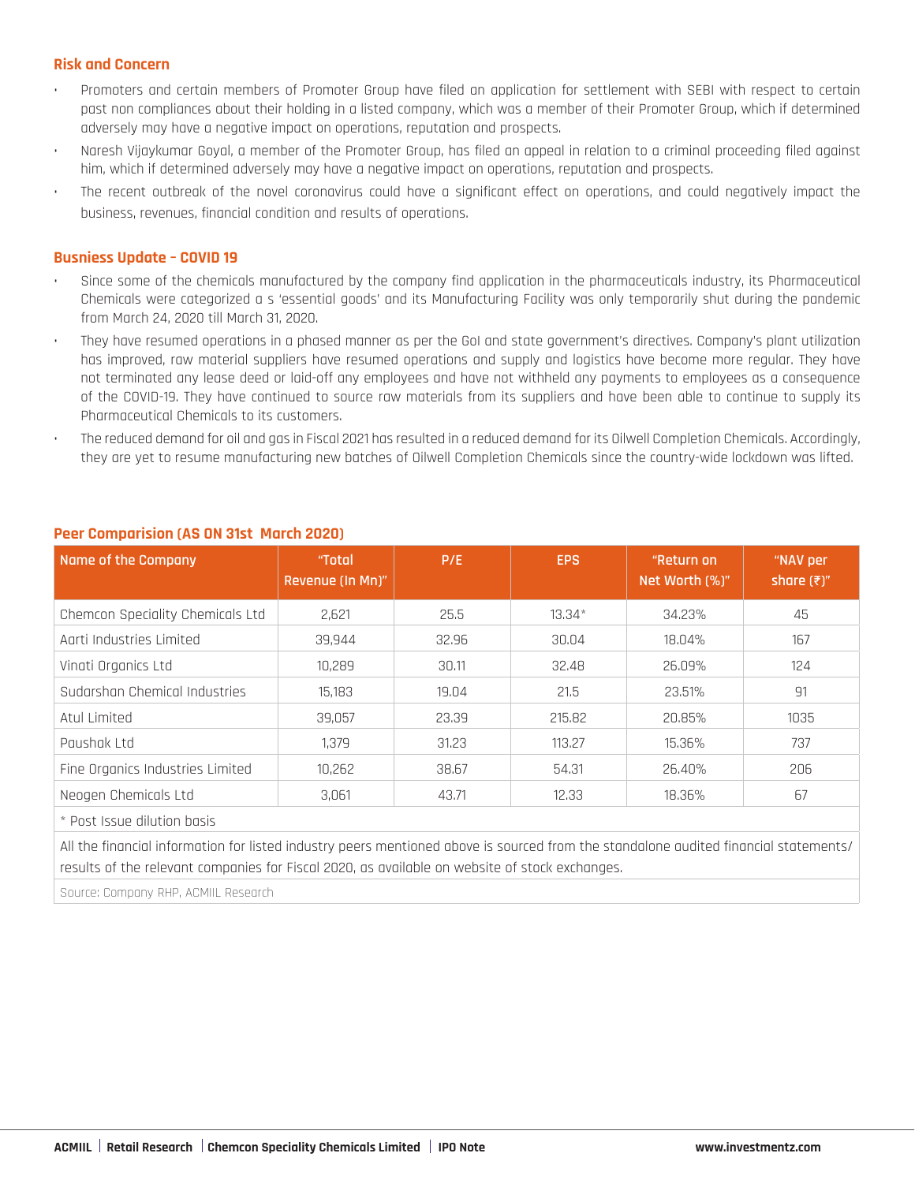# **Risk and Concern**

- Promoters and certain members of Promoter Group have filed an application for settlement with SEBI with respect to certain past non compliances about their holding in a listed company, which was a member of their Promoter Group, which if determined adversely may have a negative impact on operations, reputation and prospects.
- Naresh Vijaykumar Goyal, a member of the Promoter Group, has filed an appeal in relation to a criminal proceeding filed against him, which if determined adversely may have a negative impact on operations, reputation and prospects.
- The recent outbreak of the novel coronavirus could have a significant effect on operations, and could negatively impact the business, revenues, financial condition and results of operations.

# **Busniess Update – COVID 19**

- Since some of the chemicals manufactured by the company find application in the pharmaceuticals industry, its Pharmaceutical Chemicals were categorized a s 'essential goods' and its Manufacturing Facility was only temporarily shut during the pandemic from March 24, 2020 till March 31, 2020.
- They have resumed operations in a phased manner as per the GoI and state government's directives. Company's plant utilization has improved, raw material suppliers have resumed operations and supply and logistics have become more regular. They have not terminated any lease deed or laid-off any employees and have not withheld any payments to employees as a consequence of the COVID-19. They have continued to source raw materials from its suppliers and have been able to continue to supply its Pharmaceutical Chemicals to its customers.
- The reduced demand for oil and gas in Fiscal 2021 has resulted in a reduced demand for its Oilwell Completion Chemicals. Accordingly, they are yet to resume manufacturing new batches of Oilwell Completion Chemicals since the country-wide lockdown was lifted.

| Name of the Company                                                                                                                  | "Total<br>Revenue (In Mn)" | P/E   | <b>EPS</b> | "Return on<br>Net Worth (%)" | "NAV per<br>share $(\bar{x})$ " |
|--------------------------------------------------------------------------------------------------------------------------------------|----------------------------|-------|------------|------------------------------|---------------------------------|
| Chemcon Speciality Chemicals Ltd                                                                                                     | 2,621                      | 25.5  | $13.34*$   | 34.23%                       | 45                              |
| Agrti Industries Limited                                                                                                             | 39,944                     | 32,96 | 30,04      | 18,04%                       | 167                             |
| Vinati Organics Ltd                                                                                                                  | 10,289                     | 30.11 | 32,48      | 26,09%                       | 124                             |
| Sudarshan Chemical Industries                                                                                                        | 15,183                     | 19.04 | 21.5       | 23.51%                       | 91                              |
| Atul Limited                                                                                                                         | 39,057                     | 23,39 | 215,82     | 20,85%                       | 1035                            |
| Paushak Ltd                                                                                                                          | 1,379                      | 31.23 | 113,27     | 15,36%                       | 737                             |
| Fine Organics Industries Limited                                                                                                     | 10,262                     | 38,67 | 54.31      | 26,40%                       | 206                             |
| Neogen Chemicals Ltd                                                                                                                 | 3,061                      | 43.71 | 12.33      | 18,36%                       | 67                              |
| * Post Issue dilution basis                                                                                                          |                            |       |            |                              |                                 |
| All the financial information for listed industry peers mentioned above is sourced from the standalone audited financial statements/ |                            |       |            |                              |                                 |

# **Peer Comparision (AS ON 31st March 2020)**

results of the relevant companies for Fiscal 2020, as available on website of stock exchanges.

Source: Company RHP, ACMIIL Research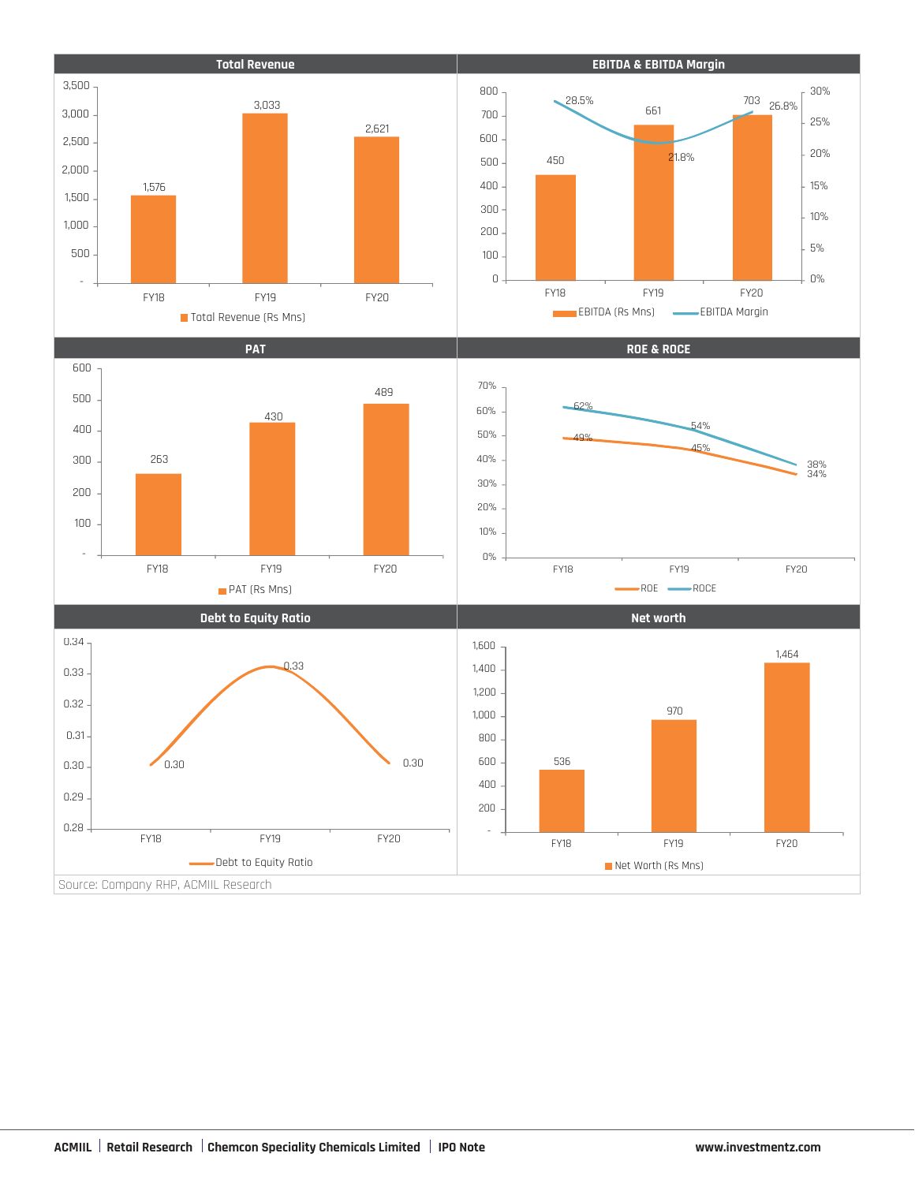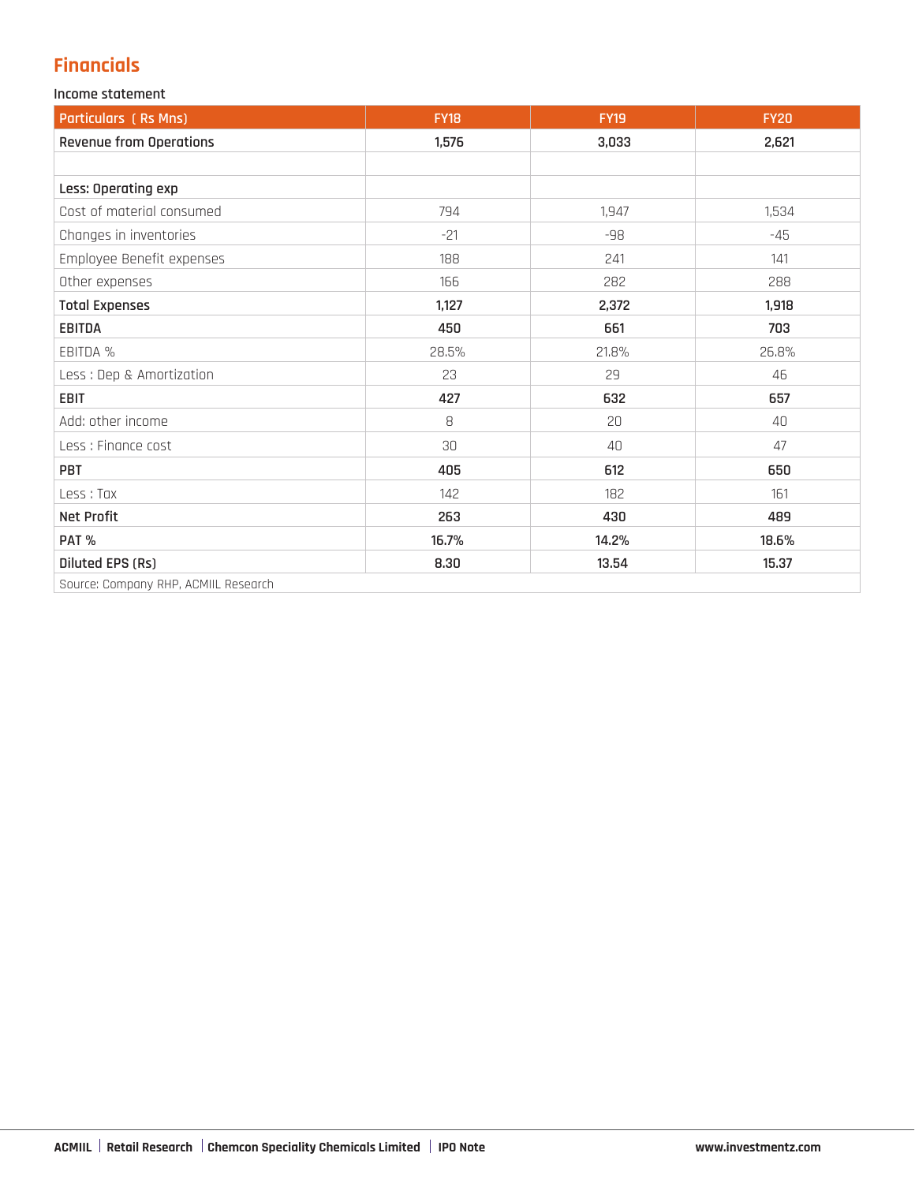# **Financials**

# **Income statement**

| <b>Particulars (Rs Mns)</b>          | <b>FY18</b> | <b>FY19</b> | <b>FY20</b> |
|--------------------------------------|-------------|-------------|-------------|
| <b>Revenue from Operations</b>       | 1,576       | 3,033       | 2,621       |
|                                      |             |             |             |
| Less: Operating exp                  |             |             |             |
| Cost of material consumed            | 794         | 1.947       | 1,534       |
| Changes in inventories               | $-21$       | -98         | $-45$       |
| Employee Benefit expenses            | 188         | 241         | 141         |
| Other expenses                       | 166         | 282         | 288         |
| <b>Total Expenses</b>                | 1,127       | 2,372       | 1,918       |
| EBITDA                               | 450         | 661         | 703         |
| EBITDA %                             | 28.5%       | 21.8%       | 26.8%       |
| Less : Dep & Amortization            | 23          | 29          | 46          |
| <b>EBIT</b>                          | 427         | 632         | 657         |
| Add: other income                    | 8           | 20          | 40          |
| Less : Finance cost                  | 30          | 40          | 47          |
| PBT                                  | 405         | 612         | 650         |
| Less : Tax                           | 142         | 182         | 161         |
| <b>Net Profit</b>                    | 263         | 430         | 489         |
| PAT %                                | 16.7%       | 14.2%       | 18.6%       |
| Diluted EPS (Rs)                     | 8.30        | 13.54       | 15.37       |
| Source: Company RHP, ACMIIL Research |             |             |             |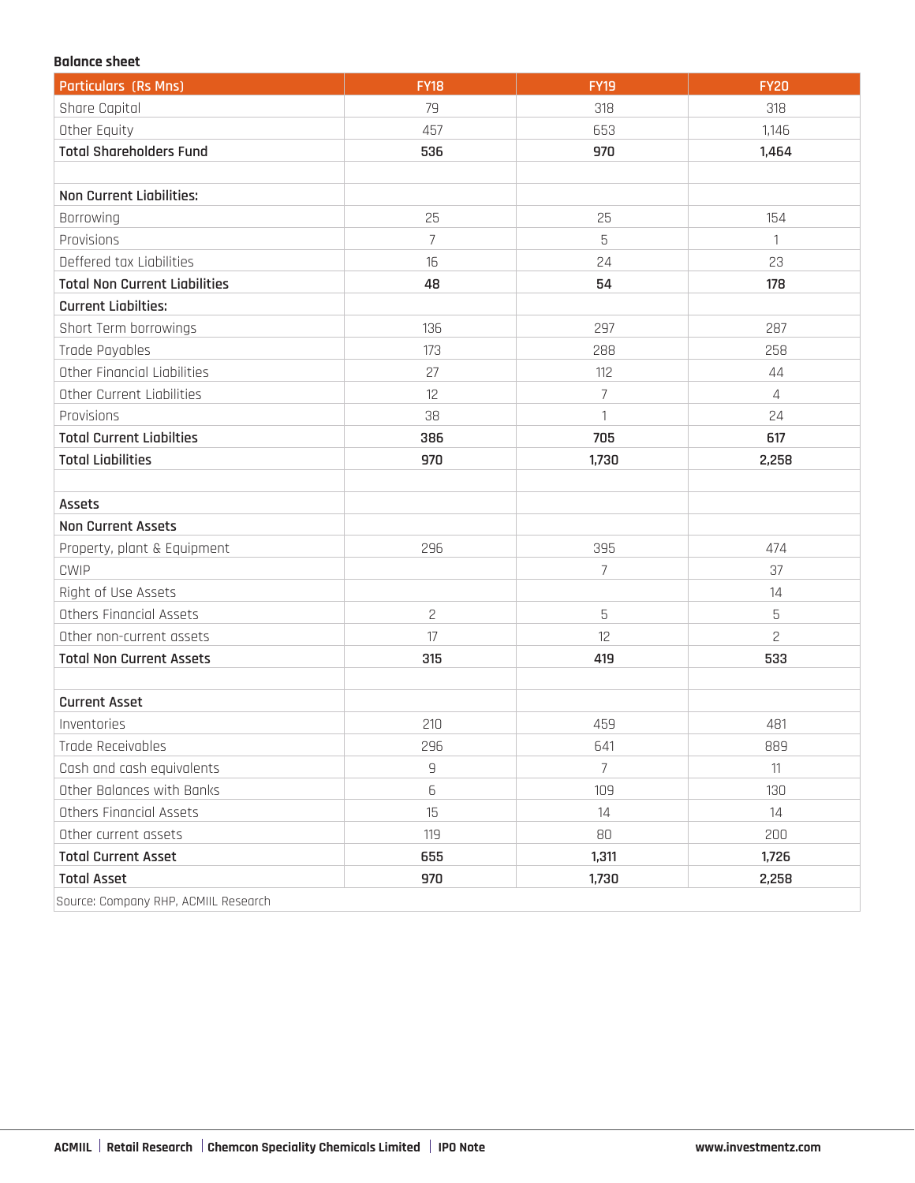## **Balance sheet**

| <b>Particulars (Rs Mns)</b>          | <b>FY18</b>    | <b>FY19</b>    | <b>FY20</b>    |
|--------------------------------------|----------------|----------------|----------------|
| Share Capital                        | 79             | 318            | 318            |
| Other Equity                         | 457            | 653            | 1,146          |
| <b>Total Shareholders Fund</b>       | 536            | 970            | 1,464          |
|                                      |                |                |                |
| <b>Non Current Liabilities:</b>      |                |                |                |
| Borrowing                            | 25             | 25             | 154            |
| Provisions                           | 7              | 5              | 1              |
| Deffered tax Liabilities             | 16             | 24             | 23             |
| <b>Total Non Current Liabilities</b> | 48             | 54             | 178            |
| <b>Current Liabilties:</b>           |                |                |                |
| Short Term borrowings                | 136            | 297            | 287            |
| Trade Payables                       | 173            | 288            | 258            |
| Other Financial Liabilities          | 27             | 112            | 44             |
| Other Current Liabilities            | 12             | $\overline{7}$ | $\overline{4}$ |
| Provisions                           | 38             | 1              | 24             |
| <b>Total Current Liabilties</b>      | 386            | 705            | 617            |
| <b>Total Liabilities</b>             | 970            | 1,730          | 2,258          |
|                                      |                |                |                |
| Assets                               |                |                |                |
| <b>Non Current Assets</b>            |                |                |                |
| Property, plant & Equipment          | 296            | 395            | 474            |
| <b>CWIP</b>                          |                | 7              | 37             |
| Right of Use Assets                  |                |                | 14             |
| Others Financial Assets              | $\overline{c}$ | 5              | 5              |
| Other non-current assets             | 17             | 12             | $\overline{c}$ |
| <b>Total Non Current Assets</b>      | 315            | 419            | 533            |
|                                      |                |                |                |
| <b>Current Asset</b>                 |                |                |                |
| Inventories                          | 210            | 459            | 481            |
| Trade Receivables                    | 296            | 641            | 889            |
| Cash and cash equivalents            | $\overline{9}$ | $\overline{7}$ | 11             |
| Other Balances with Banks            | 6              | 109            | 130            |
| Others Financial Assets              | 15             | 14             | 14             |
| Other current assets                 | 119            | 80             | 200            |
| <b>Total Current Asset</b>           | 655            | 1,311          | 1,726          |
| <b>Total Asset</b>                   | 970            | 1,730          | 2,258          |
| Source: Company RHP, ACMIIL Research |                |                |                |